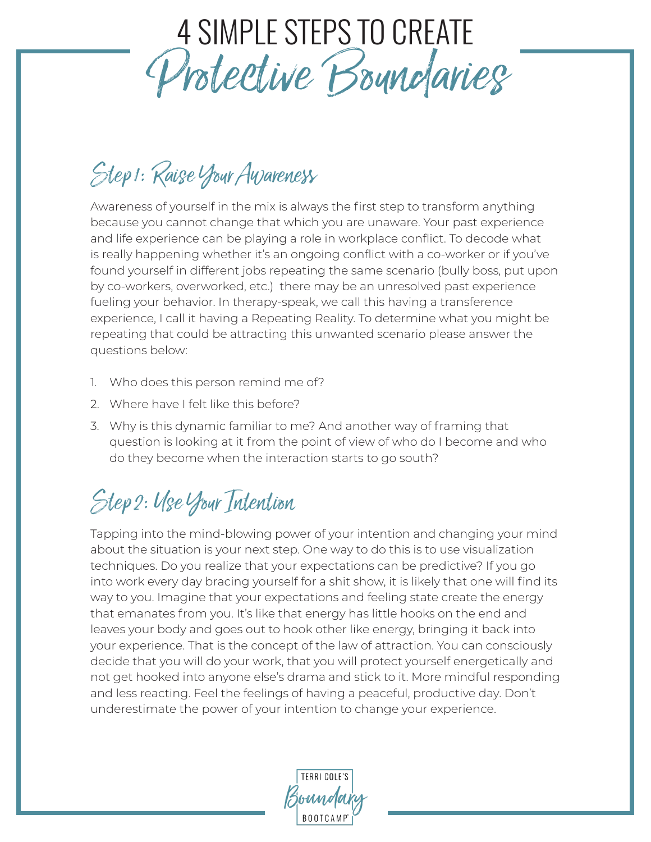## 4 SIMPLE STEPS TO CREATE Protective Boundaries

### Step 1: Raise Your Awareness

Awareness of yourself in the mix is always the first step to transform anything because you cannot change that which you are unaware. Your past experience and life experience can be playing a role in workplace conflict. To decode what is really happening whether it's an ongoing conflict with a co-worker or if you've found yourself in different jobs repeating the same scenario (bully boss, put upon by co-workers, overworked, etc.) there may be an unresolved past experience fueling your behavior. In therapy-speak, we call this having a transference experience, I call it having a Repeating Reality. To determine what you might be repeating that could be attracting this unwanted scenario please answer the questions below:

- 1. Who does this person remind me of?
- 2. Where have I felt like this before?
- 3. Why is this dynamic familiar to me? And another way of framing that question is looking at it from the point of view of who do I become and who do they become when the interaction starts to go south?

#### Step 2: Use Your Intention

Tapping into the mind-blowing power of your intention and changing your mind about the situation is your next step. One way to do this is to use visualization techniques. Do you realize that your expectations can be predictive? If you go into work every day bracing yourself for a shit show, it is likely that one will find its way to you. Imagine that your expectations and feeling state create the energy that emanates from you. It's like that energy has little hooks on the end and leaves your body and goes out to hook other like energy, bringing it back into your experience. That is the concept of the law of attraction. You can consciously decide that you will do your work, that you will protect yourself energetically and not get hooked into anyone else's drama and stick to it. More mindful responding and less reacting. Feel the feelings of having a peaceful, productive day. Don't underestimate the power of your intention to change your experience.

**TERRI COLE'S** Boundary **BOOTCAMP**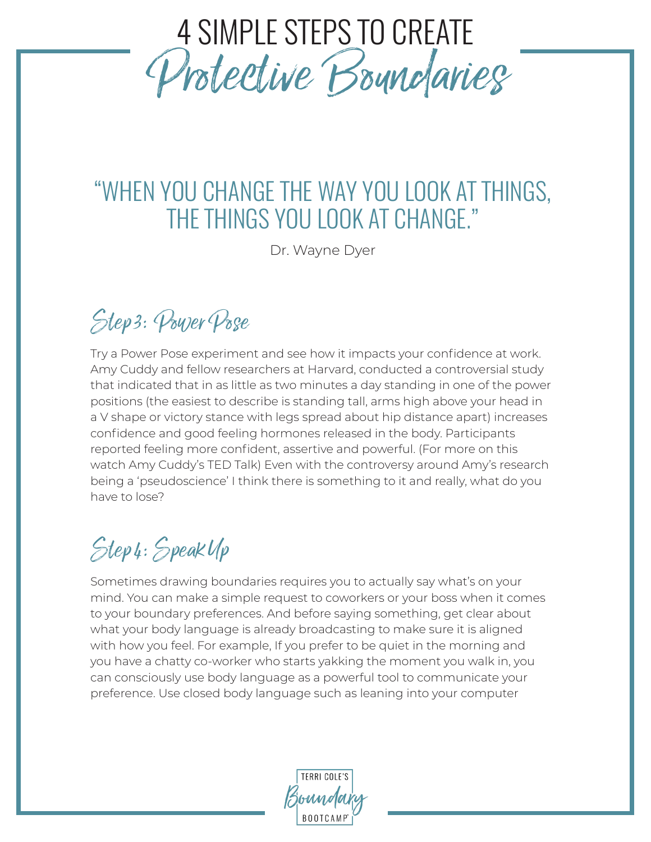# 4 SIMPLE STEPS TO CREATE Protective Boundaries

#### "WHEN YOU CHANGE THE WAY YOU LOOK AT THINGS, THE THINGS YOU LOOK AT CHANGE."

Dr. Wayne Dyer

### Step 3: Power Pose

Try a Power Pose experiment and see how it impacts your confidence at work. Amy Cuddy and fellow researchers at Harvard, conducted a controversial study that indicated that in as little as two minutes a day standing in one of the power positions (the easiest to describe is standing tall, arms high above your head in a V shape or victory stance with legs spread about hip distance apart) increases confidence and good feeling hormones released in the body. Participants reported feeling more confident, assertive and powerful. (For more on this watch Amy Cuddy's TED Talk) Even with the controversy around Amy's research being a 'pseudoscience' I think there is something to it and really, what do you have to lose?

### Step 4: Speak Up

Sometimes drawing boundaries requires you to actually say what's on your mind. You can make a simple request to coworkers or your boss when it comes to your boundary preferences. And before saying something, get clear about what your body language is already broadcasting to make sure it is aligned with how you feel. For example, If you prefer to be quiet in the morning and you have a chatty co-worker who starts yakking the moment you walk in, you can consciously use body language as a powerful tool to communicate your preference. Use closed body language such as leaning into your computer